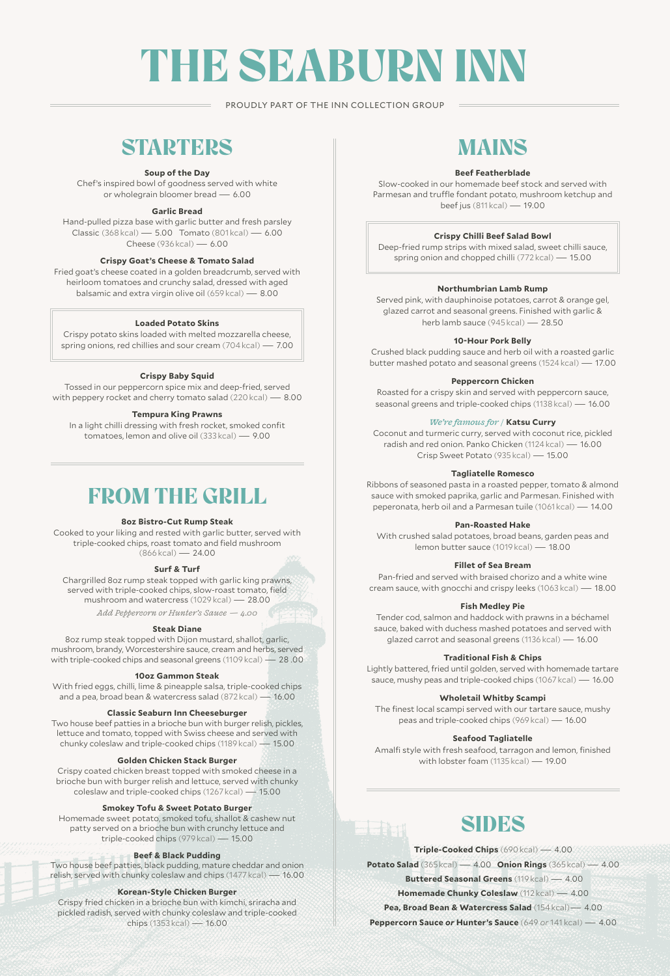# THE SEABURN INN

PROUDLY PART OF THE INN COLLECTION GROUP



#### **Soup of the Day**

Chef's inspired bowl of goodness served with white or wholegrain bloomer bread — 6.00

#### **Garlic Bread**

Hand-pulled pizza base with garlic butter and fresh parsley Classic (368 kcal) — 5.00 Tomato (801 kcal) — 6.00 Cheese (936 kcal) — 6.00

### **Crispy Goat's Cheese & Tomato Salad**

Fried goat's cheese coated in a golden breadcrumb, served with heirloom tomatoes and crunchy salad, dressed with aged balsamic and extra virgin olive oil (659 kcal) — 8.00

#### **Loaded Potato Skins**

Crispy potato skins loaded with melted mozzarella cheese, spring onions, red chillies and sour cream (704 kcal) — 7.00

#### **Crispy Baby Squid**

Tossed in our peppercorn spice mix and deep-fried, served with peppery rocket and cherry tomato salad (220 kcal) — 8.00

### **Tempura King Prawns**

In a light chilli dressing with fresh rocket, smoked confit tomatoes, lemon and olive oil (333 kcal) — 9.00

# FROM THE GRILL

#### **8oz Bistro-Cut Rump Steak**

Cooked to your liking and rested with garlic butter, served with triple-cooked chips, roast tomato and field mushroom (866 kcal) — 24.00

#### **Surf & Turf**

Chargrilled 8oz rump steak topped with garlic king prawns, served with triple-cooked chips, slow-roast tomato, field mushroom and watercress (1029 kcal) — 28.00

*Add Peppercorn or Hunter's Sauce — 4.00*

#### **Steak Diane**

8oz rump steak topped with Dijon mustard, shallot, garlic, mushroom, brandy, Worcestershire sauce, cream and herbs, served with triple-cooked chips and seasonal greens (1109 kcal) — 28 .00

#### **10oz Gammon Steak**

With fried eggs, chilli, lime & pineapple salsa, triple-cooked chips and a pea, broad bean & watercress salad (872 kcal) — 16.00

#### **Classic Seaburn Inn Cheeseburger**

Two house beef patties in a brioche bun with burger relish, pickles, lettuce and tomato, topped with Swiss cheese and served with chunky coleslaw and triple-cooked chips (1189 kcal) — 15.00

#### **Golden Chicken Stack Burger**

Crispy coated chicken breast topped with smoked cheese in a brioche bun with burger relish and lettuce, served with chunky coleslaw and triple-cooked chips (1267 kcal) — 15.00

#### **Smokey Tofu & Sweet Potato Burger**

Homemade sweet potato, smoked tofu, shallot & cashew nut patty served on a brioche bun with crunchy lettuce and triple-cooked chips (979 kcal) — 15.00

#### **Beef & Black Pudding**

Two house beef patties, black pudding, mature cheddar and onion relish, served with chunky coleslaw and chips (1477 kcal) — 16.00

#### **Korean-Style Chicken Burger**

Crispy fried chicken in a brioche bun with kimchi, sriracha and pickled radish, served with chunky coleslaw and triple-cooked chips (1353 kcal) — 16.00

# MAINS

#### **Beef Featherblade**

Slow-cooked in our homemade beef stock and served with Parmesan and truffle fondant potato, mushroom ketchup and beef jus (811 kcal) — 19.00

#### **Crispy Chilli Beef Salad Bowl**

Deep-fried rump strips with mixed salad, sweet chilli sauce, spring onion and chopped chilli (772 kcal) — 15.00

#### **Northumbrian Lamb Rump**

Served pink, with dauphinoise potatoes, carrot & orange gel, glazed carrot and seasonal greens. Finished with garlic & herb lamb sauce (945 kcal) — 28.50

#### **10-Hour Pork Belly**

Crushed black pudding sauce and herb oil with a roasted garlic butter mashed potato and seasonal greens (1524 kcal) — 17.00

#### **Peppercorn Chicken**

Roasted for a crispy skin and served with peppercorn sauce, seasonal greens and triple-cooked chips (1138 kcal) — 16.00

#### *We're famous for /* **Katsu Curry**

Coconut and turmeric curry, served with coconut rice, pickled radish and red onion. Panko Chicken (1124 kcal) — 16.00 Crisp Sweet Potato (935 kcal) — 15.00

#### **Tagliatelle Romesco**

Ribbons of seasoned pasta in a roasted pepper, tomato & almond sauce with smoked paprika, garlic and Parmesan. Finished with peperonata, herb oil and a Parmesan tuile (1061 kcal) — 14.00

#### **Pan-Roasted Hake**

With crushed salad potatoes, broad beans, garden peas and lemon butter sauce (1019 kcal) — 18.00

#### **Fillet of Sea Bream**

Pan-fried and served with braised chorizo and a white wine cream sauce, with gnocchi and crispy leeks (1063 kcal) — 18.00

#### **Fish Medley Pie**

Tender cod, salmon and haddock with prawns in a béchamel sauce, baked with duchess mashed potatoes and served with glazed carrot and seasonal greens (1136 kcal) — 16.00

#### **Traditional Fish & Chips**

Lightly battered, fried until golden, served with homemade tartare sauce, mushy peas and triple-cooked chips (1067 kcal) — 16.00

#### **Wholetail Whitby Scampi**

The finest local scampi served with our tartare sauce, mushy peas and triple-cooked chips (969 kcal) — 16.00

#### **Seafood Tagliatelle**

Amalfi style with fresh seafood, tarragon and lemon, finished with lobster foam (1135 kcal) — 19.00

## SIDES

**Triple-Cooked Chips** (690 kcal) — 4.00

**Potato Salad** (365 kcal) — 4.00 **Onion Rings** (365 kcal) — 4.00

**Buttered Seasonal Greens** (119 kcal) — 4.00

**Homemade Chunky Coleslaw** (112 kcal) — 4.00

**Pea, Broad Bean & Watercress Salad** (154 kcal)— 4.00

**Peppercorn Sauce** *or* **Hunter's Sauce** (649 *or* 141 kcal) — 4.00